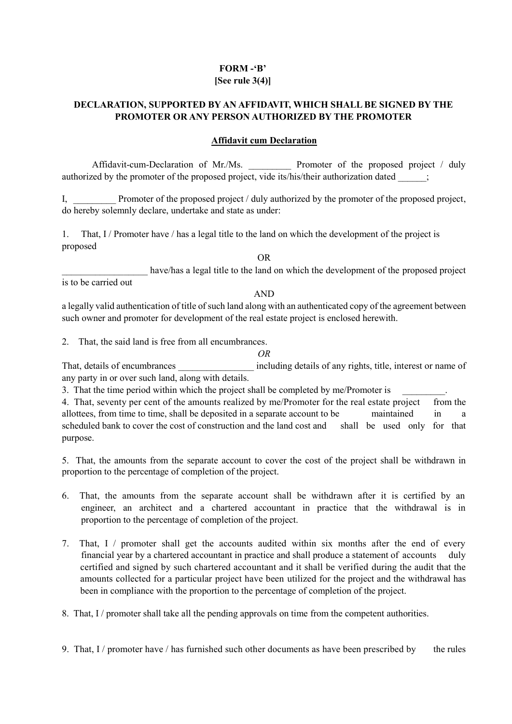## **FORM -'B' [See rule 3(4)]**

# **DECLARATION, SUPPORTED BY AN AFFIDAVIT, WHICH SHALL BE SIGNED BY THE PROMOTER OR ANY PERSON AUTHORIZED BY THE PROMOTER**

## **Affidavit cum Declaration**

Affidavit-cum-Declaration of Mr./Ms. Promoter of the proposed project / duly authorized by the promoter of the proposed project, vide its/his/their authorization dated;

I, Promoter of the proposed project / duly authorized by the promoter of the proposed project, do hereby solemnly declare, undertake and state as under:

1. That, I / Promoter have / has a legal title to the land on which the development of the project is proposed

OR

have/has a legal title to the land on which the development of the proposed project is to be carried out

#### AND

a legally valid authentication of title of such land along with an authenticated copy of the agreement between such owner and promoter for development of the real estate project is enclosed herewith.

2. That, the said land is free from all encumbrances.

#### *OR*

That, details of encumbrances including details of any rights, title, interest or name of any party in or over such land, along with details.

3. That the time period within which the project shall be completed by me/Promoter is

4. That, seventy per cent of the amounts realized by me/Promoter for the real estate project from the allottees, from time to time, shall be deposited in a separate account to be maintained in a scheduled bank to cover the cost of construction and the land cost and shall be used only for that purpose.

5. That, the amounts from the separate account to cover the cost of the project shall be withdrawn in proportion to the percentage of completion of the project.

- 6. That, the amounts from the separate account shall be withdrawn after it is certified by an engineer, an architect and a chartered accountant in practice that the withdrawal is in proportion to the percentage of completion of the project.
- 7. That, I / promoter shall get the accounts audited within six months after the end of every financial year by a chartered accountant in practice and shall produce a statement of accounts duly certified and signed by such chartered accountant and it shall be verified during the audit that the amounts collected for a particular project have been utilized for the project and the withdrawal has been in compliance with the proportion to the percentage of completion of the project.

8. That, I / promoter shall take all the pending approvals on time from the competent authorities.

9. That,  $I /$  promoter have  $/$  has furnished such other documents as have been prescribed by the rules